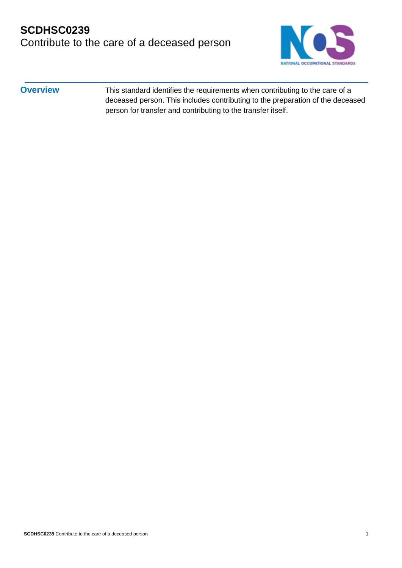### **SCDHSC0239** Contribute to the care of a deceased person



**Overview** This standard identifies the requirements when contributing to the care of a deceased person. This includes contributing to the preparation of the deceased person for transfer and contributing to the transfer itself.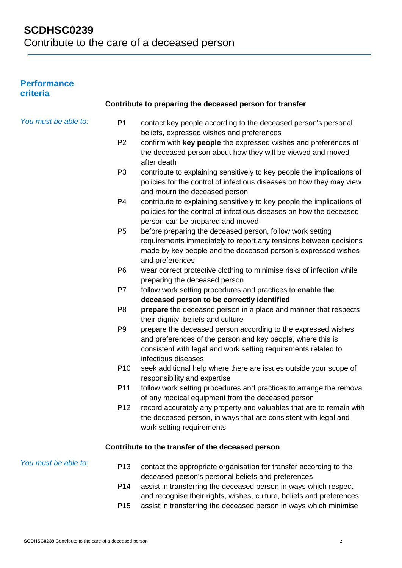#### **Performance criteria**

| <b>UNITE</b>         |                 |                                                                                                                                                                                                                       |
|----------------------|-----------------|-----------------------------------------------------------------------------------------------------------------------------------------------------------------------------------------------------------------------|
|                      |                 | Contribute to preparing the deceased person for transfer                                                                                                                                                              |
| You must be able to: | P <sub>1</sub>  | contact key people according to the deceased person's personal<br>beliefs, expressed wishes and preferences                                                                                                           |
|                      | P <sub>2</sub>  | confirm with key people the expressed wishes and preferences of<br>the deceased person about how they will be viewed and moved<br>after death                                                                         |
|                      | P <sub>3</sub>  | contribute to explaining sensitively to key people the implications of<br>policies for the control of infectious diseases on how they may view<br>and mourn the deceased person                                       |
|                      | P <sub>4</sub>  | contribute to explaining sensitively to key people the implications of<br>policies for the control of infectious diseases on how the deceased<br>person can be prepared and moved                                     |
|                      | P <sub>5</sub>  | before preparing the deceased person, follow work setting<br>requirements immediately to report any tensions between decisions<br>made by key people and the deceased person's expressed wishes<br>and preferences    |
|                      | P <sub>6</sub>  | wear correct protective clothing to minimise risks of infection while<br>preparing the deceased person                                                                                                                |
|                      | P7              | follow work setting procedures and practices to enable the<br>deceased person to be correctly identified                                                                                                              |
|                      | P <sub>8</sub>  | prepare the deceased person in a place and manner that respects<br>their dignity, beliefs and culture                                                                                                                 |
|                      | P <sub>9</sub>  | prepare the deceased person according to the expressed wishes<br>and preferences of the person and key people, where this is<br>consistent with legal and work setting requirements related to<br>infectious diseases |
|                      | P <sub>10</sub> | seek additional help where there are issues outside your scope of<br>responsibility and expertise                                                                                                                     |
|                      | P <sub>11</sub> | follow work setting procedures and practices to arrange the removal<br>of any medical equipment from the deceased person                                                                                              |
|                      | P <sub>12</sub> | record accurately any property and valuables that are to remain with<br>the deceased person, in ways that are consistent with legal and<br>work setting requirements                                                  |
|                      |                 | Contribute to the transfer of the deceased person                                                                                                                                                                     |
| You must be able to: | P <sub>13</sub> | contact the appropriate organisation for transfer according to the<br>deceased person's personal beliefs and preferences                                                                                              |
|                      | P <sub>14</sub> | assist in transferring the deceased person in ways which respect<br>and recognise their rights, wishes, culture, beliefs and preferences                                                                              |
|                      | P <sub>15</sub> | assist in transferring the deceased person in ways which minimise                                                                                                                                                     |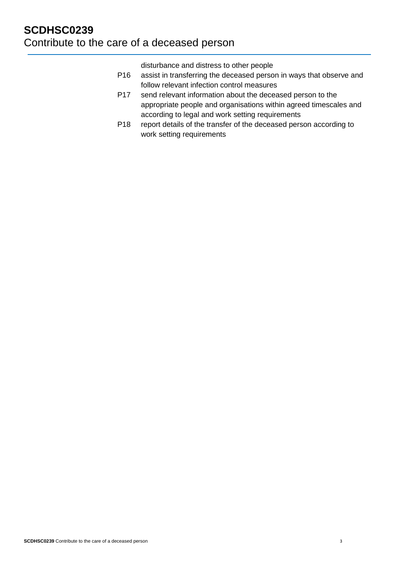disturbance and distress to other people

- P16 assist in transferring the deceased person in ways that observe and follow relevant infection control measures
- P17 send relevant information about the deceased person to the appropriate people and organisations within agreed timescales and according to legal and work setting requirements
- P18 report details of the transfer of the deceased person according to work setting requirements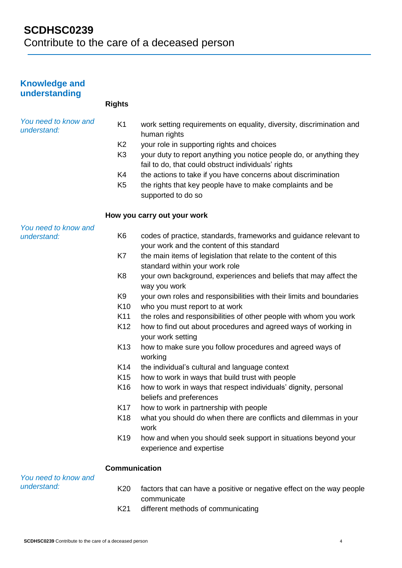| <b>Knowledge and</b><br>understanding |                      |                                                                                                                            |
|---------------------------------------|----------------------|----------------------------------------------------------------------------------------------------------------------------|
|                                       | <b>Rights</b>        |                                                                                                                            |
| You need to know and<br>understand:   | K <sub>1</sub>       | work setting requirements on equality, diversity, discrimination and<br>human rights                                       |
|                                       | K <sub>2</sub>       | your role in supporting rights and choices                                                                                 |
|                                       | K <sub>3</sub>       | your duty to report anything you notice people do, or anything they<br>fail to do, that could obstruct individuals' rights |
|                                       | K4                   | the actions to take if you have concerns about discrimination                                                              |
|                                       | K <sub>5</sub>       | the rights that key people have to make complaints and be<br>supported to do so                                            |
|                                       |                      | How you carry out your work                                                                                                |
| You need to know and<br>understand:   | K <sub>6</sub>       | codes of practice, standards, frameworks and guidance relevant to<br>your work and the content of this standard            |
|                                       | K7                   | the main items of legislation that relate to the content of this<br>standard within your work role                         |
|                                       | K <sub>8</sub>       | your own background, experiences and beliefs that may affect the<br>way you work                                           |
|                                       | K9                   | your own roles and responsibilities with their limits and boundaries                                                       |
|                                       | K <sub>10</sub>      | who you must report to at work                                                                                             |
|                                       | K11                  | the roles and responsibilities of other people with whom you work                                                          |
|                                       | K <sub>12</sub>      | how to find out about procedures and agreed ways of working in<br>your work setting                                        |
|                                       | K <sub>13</sub>      | how to make sure you follow procedures and agreed ways of<br>working                                                       |
|                                       | K14                  | the individual's cultural and language context                                                                             |
|                                       | K15                  | how to work in ways that build trust with people                                                                           |
|                                       | K <sub>16</sub>      | how to work in ways that respect individuals' dignity, personal<br>beliefs and preferences                                 |
|                                       | K17                  | how to work in partnership with people                                                                                     |
|                                       | K18                  | what you should do when there are conflicts and dilemmas in your<br>work                                                   |
|                                       | K <sub>19</sub>      | how and when you should seek support in situations beyond your<br>experience and expertise                                 |
| You need to know and                  | <b>Communication</b> |                                                                                                                            |
| understand:                           | K20                  | factors that can have a positive or negative effect on the way people<br>communicate                                       |
|                                       | K <sub>21</sub>      | different methods of communicating                                                                                         |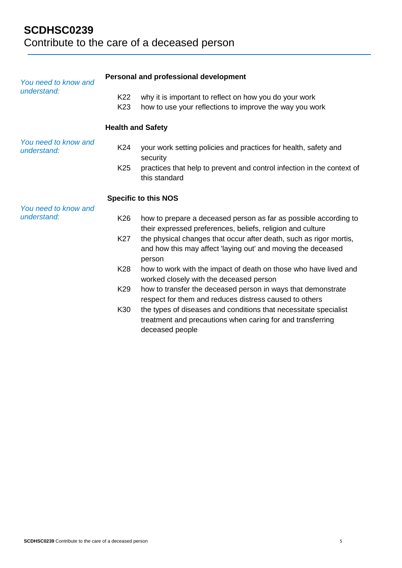# **SCDHSC0239**  Contribute to the care of a deceased person

| You need to know and<br>understand: | Personal and professional development |                                                                                                                                                   |  |
|-------------------------------------|---------------------------------------|---------------------------------------------------------------------------------------------------------------------------------------------------|--|
|                                     | K22<br>K <sub>23</sub>                | why it is important to reflect on how you do your work<br>how to use your reflections to improve the way you work                                 |  |
|                                     | <b>Health and Safety</b>              |                                                                                                                                                   |  |
| You need to know and<br>understand: | K24                                   | your work setting policies and practices for health, safety and<br>security                                                                       |  |
|                                     | K <sub>25</sub>                       | practices that help to prevent and control infection in the context of<br>this standard                                                           |  |
|                                     |                                       | <b>Specific to this NOS</b>                                                                                                                       |  |
| You need to know and<br>understand: | K26                                   | how to prepare a deceased person as far as possible according to<br>their expressed preferences, beliefs, religion and culture                    |  |
|                                     | K27                                   | the physical changes that occur after death, such as rigor mortis,<br>and how this may affect 'laying out' and moving the deceased<br>person      |  |
|                                     | K28                                   | how to work with the impact of death on those who have lived and<br>worked closely with the deceased person                                       |  |
|                                     | K29                                   | how to transfer the deceased person in ways that demonstrate<br>respect for them and reduces distress caused to others                            |  |
|                                     | K30                                   | the types of diseases and conditions that necessitate specialist<br>treatment and precautions when caring for and transferring<br>deceased people |  |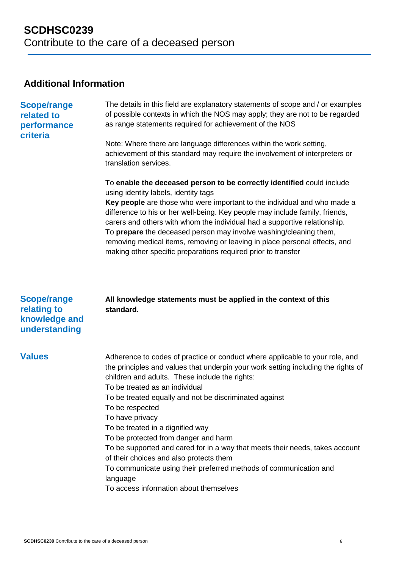### **Additional Information**

| <b>Scope/range</b><br>related to<br>performance<br>criteria         | The details in this field are explanatory statements of scope and / or examples<br>of possible contexts in which the NOS may apply; they are not to be regarded<br>as range statements required for achievement of the NOS<br>Note: Where there are language differences within the work setting,<br>achievement of this standard may require the involvement of interpreters or<br>translation services.<br>To enable the deceased person to be correctly identified could include<br>using identity labels, identity tags<br>Key people are those who were important to the individual and who made a<br>difference to his or her well-being. Key people may include family, friends,<br>carers and others with whom the individual had a supportive relationship.<br>To prepare the deceased person may involve washing/cleaning them,<br>removing medical items, removing or leaving in place personal effects, and<br>making other specific preparations required prior to transfer |
|---------------------------------------------------------------------|------------------------------------------------------------------------------------------------------------------------------------------------------------------------------------------------------------------------------------------------------------------------------------------------------------------------------------------------------------------------------------------------------------------------------------------------------------------------------------------------------------------------------------------------------------------------------------------------------------------------------------------------------------------------------------------------------------------------------------------------------------------------------------------------------------------------------------------------------------------------------------------------------------------------------------------------------------------------------------------|
| <b>Scope/range</b><br>relating to<br>knowledge and<br>understanding | All knowledge statements must be applied in the context of this<br>standard.                                                                                                                                                                                                                                                                                                                                                                                                                                                                                                                                                                                                                                                                                                                                                                                                                                                                                                             |
| <b>Values</b>                                                       | Adherence to codes of practice or conduct where applicable to your role, and<br>the principles and values that underpin your work setting including the rights of<br>children and adults. These include the rights:<br>To be treated as an individual<br>To be treated equally and not be discriminated against<br>To be respected<br>To have privacy<br>To be treated in a dignified way<br>To be protected from danger and harm<br>To be supported and cared for in a way that meets their needs, takes account<br>of their choices and also protects them<br>To communicate using their preferred methods of communication and<br>language<br>To access information about themselves                                                                                                                                                                                                                                                                                                  |